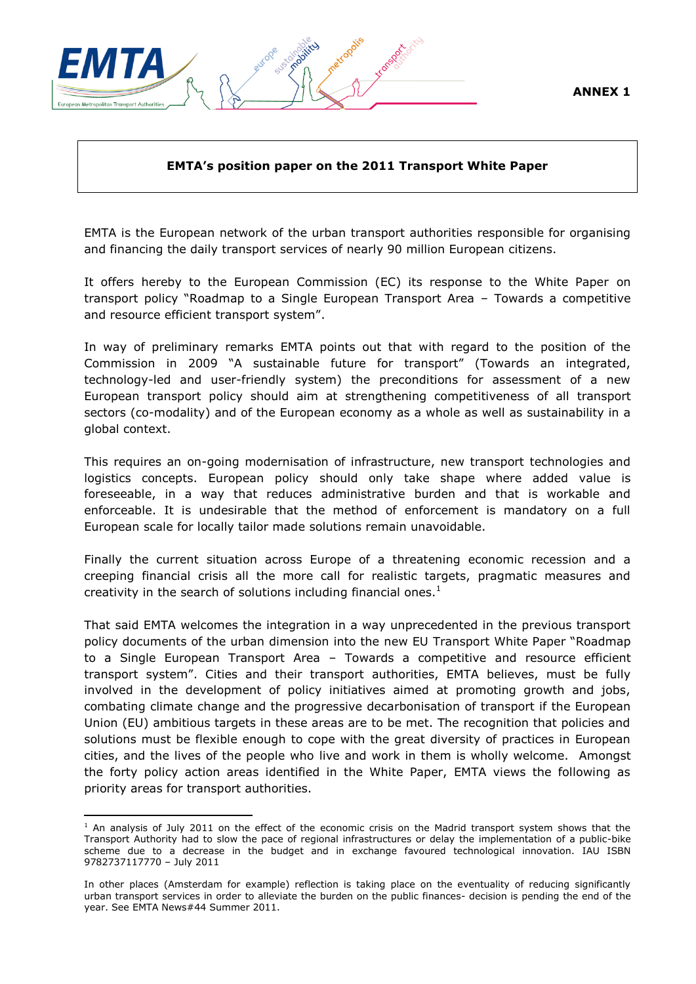



#### **EMTA's position paper on the 2011 Transport White Paper**

EMTA is the European network of the urban transport authorities responsible for organising and financing the daily transport services of nearly 90 million European citizens.

It offers hereby to the European Commission (EC) its response to the White Paper on transport policy "Roadmap to a Single European Transport Area – Towards a competitive and resource efficient transport system".

In way of preliminary remarks EMTA points out that with regard to the position of the Commission in 2009 "A sustainable future for transport" (Towards an integrated, technology-led and user-friendly system) the preconditions for assessment of a new European transport policy should aim at strengthening competitiveness of all transport sectors (co-modality) and of the European economy as a whole as well as sustainability in a global context.

This requires an on-going modernisation of infrastructure, new transport technologies and logistics concepts. European policy should only take shape where added value is foreseeable, in a way that reduces administrative burden and that is workable and enforceable. It is undesirable that the method of enforcement is mandatory on a full European scale for locally tailor made solutions remain unavoidable.

Finally the current situation across Europe of a threatening economic recession and a creeping financial crisis all the more call for realistic targets, pragmatic measures and creativity in the search of solutions including financial ones. $<sup>1</sup>$ </sup>

That said EMTA welcomes the integration in a way unprecedented in the previous transport policy documents of the urban dimension into the new EU Transport White Paper "Roadmap to a Single European Transport Area – Towards a competitive and resource efficient transport system". Cities and their transport authorities, EMTA believes, must be fully involved in the development of policy initiatives aimed at promoting growth and jobs, combating climate change and the progressive decarbonisation of transport if the European Union (EU) ambitious targets in these areas are to be met. The recognition that policies and solutions must be flexible enough to cope with the great diversity of practices in European cities, and the lives of the people who live and work in them is wholly welcome. Amongst the forty policy action areas identified in the White Paper, EMTA views the following as priority areas for transport authorities.

1

 $1$  An analysis of July 2011 on the effect of the economic crisis on the Madrid transport system shows that the Transport Authority had to slow the pace of regional infrastructures or delay the implementation of a public-bike scheme due to a decrease in the budget and in exchange favoured technological innovation. IAU ISBN 9782737117770 – July 2011

In other places (Amsterdam for example) reflection is taking place on the eventuality of reducing significantly urban transport services in order to alleviate the burden on the public finances- decision is pending the end of the year. See EMTA News#44 Summer 2011.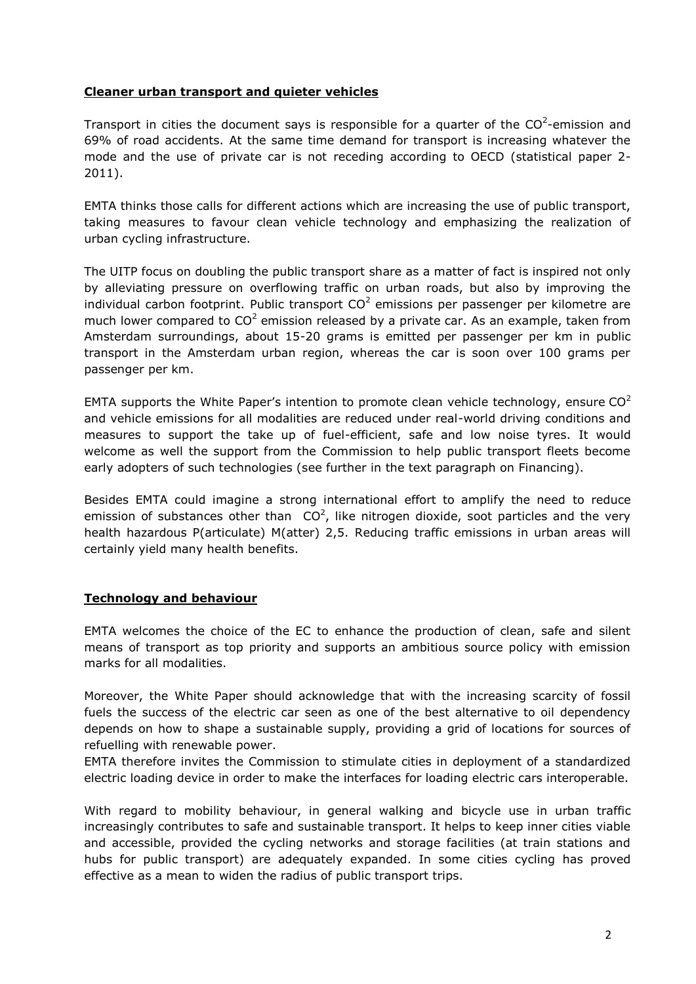#### **Cleaner urban transport and quieter vehicles**

Transport in cities the document says is responsible for a quarter of the  $CO^2$ -emission and 69% of road accidents. At the same time demand for transport is increasing whatever the mode and the use of private car is not receding according to OECD (statistical paper 2- 2011).

EMTA thinks those calls for different actions which are increasing the use of public transport, taking measures to favour clean vehicle technology and emphasizing the realization of urban cycling infrastructure.

The UITP focus on doubling the public transport share as a matter of fact is inspired not only by alleviating pressure on overflowing traffic on urban roads, but also by improving the individual carbon footprint. Public transport  $CO^2$  emissions per passenger per kilometre are much lower compared to  $CO^2$  emission released by a private car. As an example, taken from Amsterdam surroundings, about 15-20 grams is emitted per passenger per km in public transport in the Amsterdam urban region, whereas the car is soon over 100 grams per passenger per km.

EMTA supports the White Paper's intention to promote clean vehicle technology, ensure  $CO<sup>2</sup>$ and vehicle emissions for all modalities are reduced under real-world driving conditions and measures to support the take up of fuel-efficient, safe and low noise tyres. It would welcome as well the support from the Commission to help public transport fleets become early adopters of such technologies (see further in the text paragraph on Financing).

Besides EMTA could imagine a strong international effort to amplify the need to reduce emission of substances other than  $CO^2$ , like nitrogen dioxide, soot particles and the very health hazardous P(articulate) M(atter) 2,5. Reducing traffic emissions in urban areas will certainly yield many health benefits.

#### **Technology and behaviour**

EMTA welcomes the choice of the EC to enhance the production of clean, safe and silent means of transport as top priority and supports an ambitious source policy with emission marks for all modalities.

Moreover, the White Paper should acknowledge that with the increasing scarcity of fossil fuels the success of the electric car seen as one of the best alternative to oil dependency depends on how to shape a sustainable supply, providing a grid of locations for sources of refuelling with renewable power.

EMTA therefore invites the Commission to stimulate cities in deployment of a standardized electric loading device in order to make the interfaces for loading electric cars interoperable.

With regard to mobility behaviour, in general walking and bicycle use in urban traffic increasingly contributes to safe and sustainable transport. It helps to keep inner cities viable and accessible, provided the cycling networks and storage facilities (at train stations and hubs for public transport) are adequately expanded. In some cities cycling has proved effective as a mean to widen the radius of public transport trips.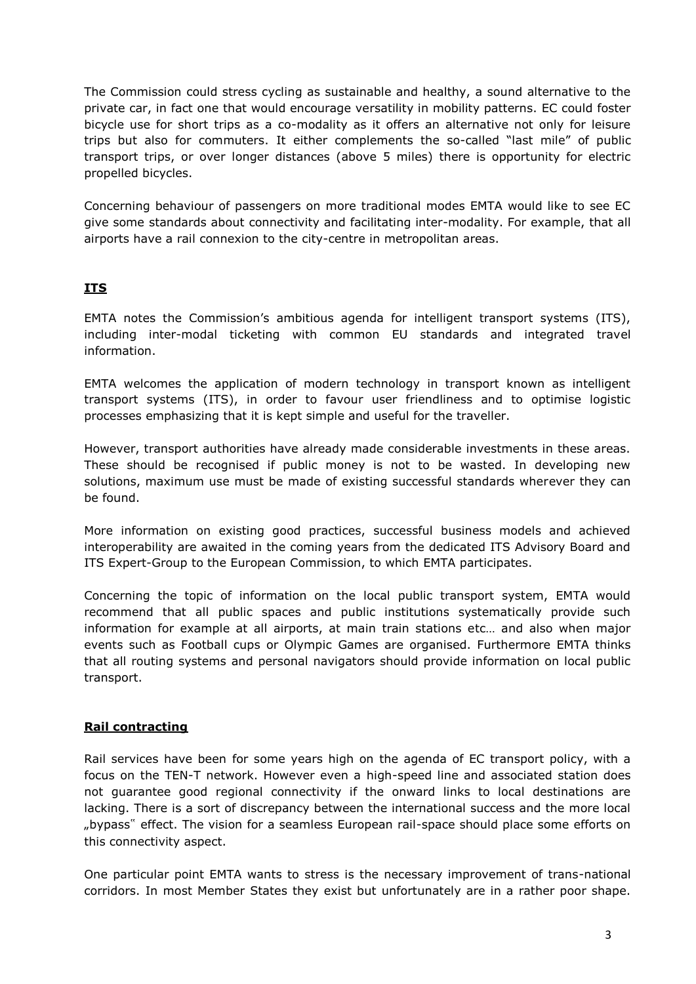The Commission could stress cycling as sustainable and healthy, a sound alternative to the private car, in fact one that would encourage versatility in mobility patterns. EC could foster bicycle use for short trips as a co-modality as it offers an alternative not only for leisure trips but also for commuters. It either complements the so-called "last mile" of public transport trips, or over longer distances (above 5 miles) there is opportunity for electric propelled bicycles.

Concerning behaviour of passengers on more traditional modes EMTA would like to see EC give some standards about connectivity and facilitating inter-modality. For example, that all airports have a rail connexion to the city-centre in metropolitan areas.

# **ITS**

EMTA notes the Commission"s ambitious agenda for intelligent transport systems (ITS), including inter-modal ticketing with common EU standards and integrated travel information.

EMTA welcomes the application of modern technology in transport known as intelligent transport systems (ITS), in order to favour user friendliness and to optimise logistic processes emphasizing that it is kept simple and useful for the traveller.

However, transport authorities have already made considerable investments in these areas. These should be recognised if public money is not to be wasted. In developing new solutions, maximum use must be made of existing successful standards wherever they can be found.

More information on existing good practices, successful business models and achieved interoperability are awaited in the coming years from the dedicated ITS Advisory Board and ITS Expert-Group to the European Commission, to which EMTA participates.

Concerning the topic of information on the local public transport system, EMTA would recommend that all public spaces and public institutions systematically provide such information for example at all airports, at main train stations etc… and also when major events such as Football cups or Olympic Games are organised. Furthermore EMTA thinks that all routing systems and personal navigators should provide information on local public transport.

## **Rail contracting**

Rail services have been for some years high on the agenda of EC transport policy, with a focus on the TEN-T network. However even a high-speed line and associated station does not guarantee good regional connectivity if the onward links to local destinations are lacking. There is a sort of discrepancy between the international success and the more local "bypass" effect. The vision for a seamless European rail-space should place some efforts on this connectivity aspect.

One particular point EMTA wants to stress is the necessary improvement of trans-national corridors. In most Member States they exist but unfortunately are in a rather poor shape.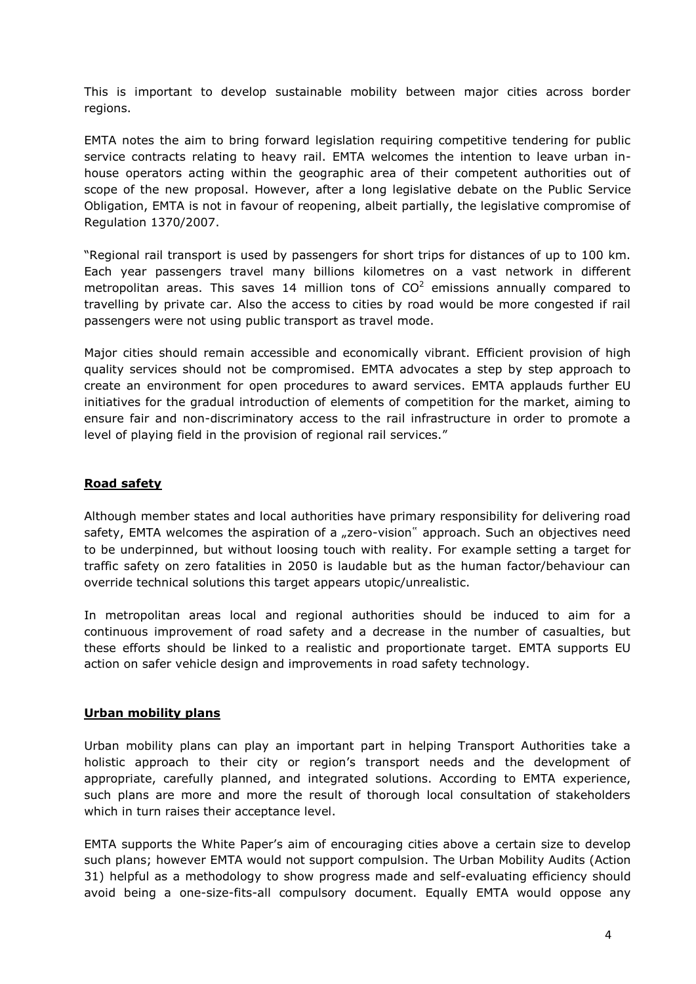This is important to develop sustainable mobility between major cities across border regions.

EMTA notes the aim to bring forward legislation requiring competitive tendering for public service contracts relating to heavy rail. EMTA welcomes the intention to leave urban inhouse operators acting within the geographic area of their competent authorities out of scope of the new proposal. However, after a long legislative debate on the Public Service Obligation, EMTA is not in favour of reopening, albeit partially, the legislative compromise of Regulation 1370/2007.

"Regional rail transport is used by passengers for short trips for distances of up to 100 km. Each year passengers travel many billions kilometres on a vast network in different metropolitan areas. This saves 14 million tons of  $CO<sup>2</sup>$  emissions annually compared to travelling by private car. Also the access to cities by road would be more congested if rail passengers were not using public transport as travel mode.

Major cities should remain accessible and economically vibrant. Efficient provision of high quality services should not be compromised. EMTA advocates a step by step approach to create an environment for open procedures to award services. EMTA applauds further EU initiatives for the gradual introduction of elements of competition for the market, aiming to ensure fair and non-discriminatory access to the rail infrastructure in order to promote a level of playing field in the provision of regional rail services."

### **Road safety**

Although member states and local authorities have primary responsibility for delivering road safety, EMTA welcomes the aspiration of a "zero-vision" approach. Such an objectives need to be underpinned, but without loosing touch with reality. For example setting a target for traffic safety on zero fatalities in 2050 is laudable but as the human factor/behaviour can override technical solutions this target appears utopic/unrealistic.

In metropolitan areas local and regional authorities should be induced to aim for a continuous improvement of road safety and a decrease in the number of casualties, but these efforts should be linked to a realistic and proportionate target. EMTA supports EU action on safer vehicle design and improvements in road safety technology.

#### **Urban mobility plans**

Urban mobility plans can play an important part in helping Transport Authorities take a holistic approach to their city or region's transport needs and the development of appropriate, carefully planned, and integrated solutions. According to EMTA experience, such plans are more and more the result of thorough local consultation of stakeholders which in turn raises their acceptance level.

EMTA supports the White Paper"s aim of encouraging cities above a certain size to develop such plans; however EMTA would not support compulsion. The Urban Mobility Audits (Action 31) helpful as a methodology to show progress made and self-evaluating efficiency should avoid being a one-size-fits-all compulsory document. Equally EMTA would oppose any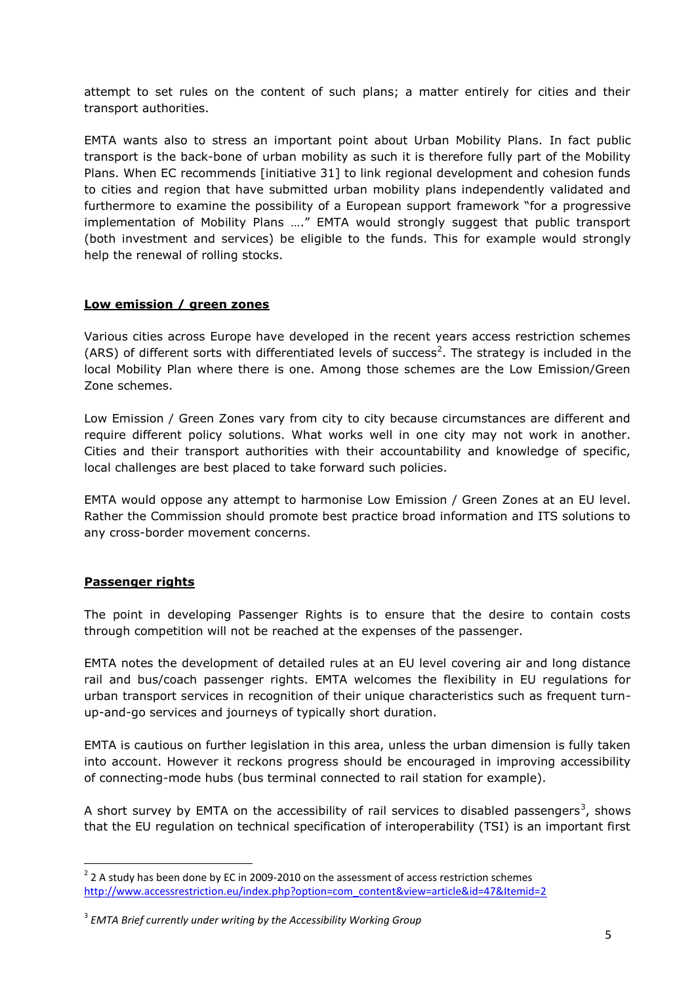attempt to set rules on the content of such plans; a matter entirely for cities and their transport authorities.

EMTA wants also to stress an important point about Urban Mobility Plans. In fact public transport is the back-bone of urban mobility as such it is therefore fully part of the Mobility Plans. When EC recommends [initiative 31] to link regional development and cohesion funds to cities and region that have submitted urban mobility plans independently validated and furthermore to examine the possibility of a European support framework "for a progressive implementation of Mobility Plans …." EMTA would strongly suggest that public transport (both investment and services) be eligible to the funds. This for example would strongly help the renewal of rolling stocks.

#### **Low emission / green zones**

Various cities across Europe have developed in the recent years access restriction schemes (ARS) of different sorts with differentiated levels of success<sup>2</sup>. The strategy is included in the local Mobility Plan where there is one. Among those schemes are the Low Emission/Green Zone schemes.

Low Emission / Green Zones vary from city to city because circumstances are different and require different policy solutions. What works well in one city may not work in another. Cities and their transport authorities with their accountability and knowledge of specific, local challenges are best placed to take forward such policies.

EMTA would oppose any attempt to harmonise Low Emission / Green Zones at an EU level. Rather the Commission should promote best practice broad information and ITS solutions to any cross-border movement concerns.

#### **Passenger rights**

**.** 

The point in developing Passenger Rights is to ensure that the desire to contain costs through competition will not be reached at the expenses of the passenger.

EMTA notes the development of detailed rules at an EU level covering air and long distance rail and bus/coach passenger rights. EMTA welcomes the flexibility in EU regulations for urban transport services in recognition of their unique characteristics such as frequent turnup-and-go services and journeys of typically short duration.

EMTA is cautious on further legislation in this area, unless the urban dimension is fully taken into account. However it reckons progress should be encouraged in improving accessibility of connecting-mode hubs (bus terminal connected to rail station for example).

A short survey by EMTA on the accessibility of rail services to disabled passengers<sup>3</sup>, shows that the EU regulation on technical specification of interoperability (TSI) is an important first

 $2$  2 A study has been done by EC in 2009-2010 on the assessment of access restriction schemes [http://www.accessrestriction.eu/index.php?option=com\\_content&view=article&id=47&Itemid=2](http://www.accessrestriction.eu/index.php?option=com_content&view=article&id=47&Itemid=2)

<sup>3</sup> *EMTA Brief currently under writing by the Accessibility Working Group*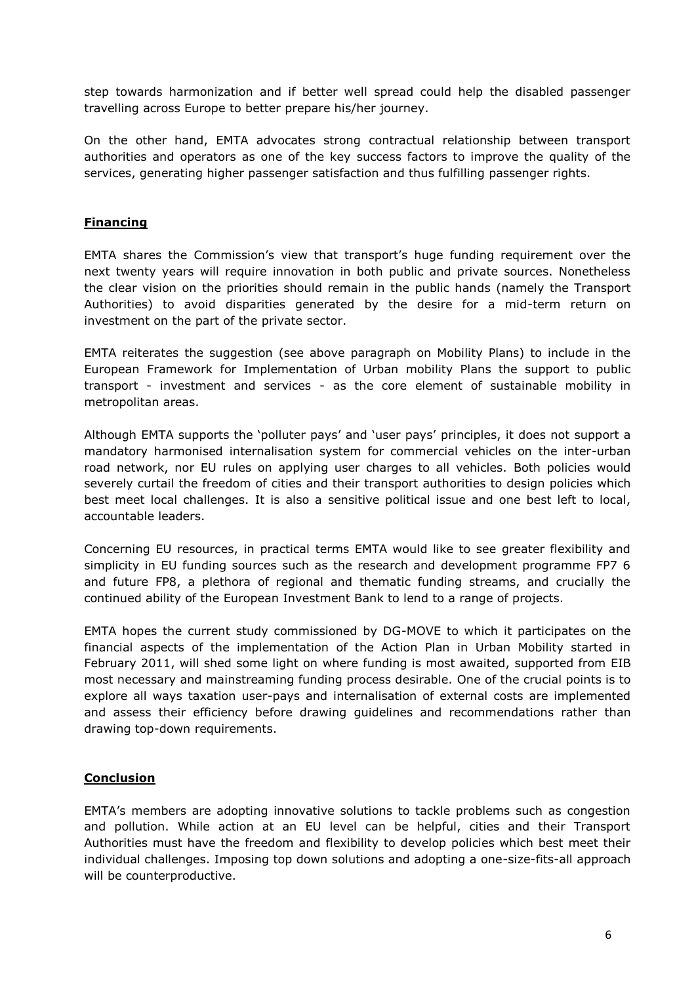step towards harmonization and if better well spread could help the disabled passenger travelling across Europe to better prepare his/her journey.

On the other hand, EMTA advocates strong contractual relationship between transport authorities and operators as one of the key success factors to improve the quality of the services, generating higher passenger satisfaction and thus fulfilling passenger rights.

#### **Financing**

EMTA shares the Commission"s view that transport"s huge funding requirement over the next twenty years will require innovation in both public and private sources. Nonetheless the clear vision on the priorities should remain in the public hands (namely the Transport Authorities) to avoid disparities generated by the desire for a mid-term return on investment on the part of the private sector.

EMTA reiterates the suggestion (see above paragraph on Mobility Plans) to include in the European Framework for Implementation of Urban mobility Plans the support to public transport - investment and services - as the core element of sustainable mobility in metropolitan areas.

Although EMTA supports the "polluter pays" and "user pays" principles, it does not support a mandatory harmonised internalisation system for commercial vehicles on the inter-urban road network, nor EU rules on applying user charges to all vehicles. Both policies would severely curtail the freedom of cities and their transport authorities to design policies which best meet local challenges. It is also a sensitive political issue and one best left to local, accountable leaders.

Concerning EU resources, in practical terms EMTA would like to see greater flexibility and simplicity in EU funding sources such as the research and development programme FP7 6 and future FP8, a plethora of regional and thematic funding streams, and crucially the continued ability of the European Investment Bank to lend to a range of projects.

EMTA hopes the current study commissioned by DG-MOVE to which it participates on the financial aspects of the implementation of the Action Plan in Urban Mobility started in February 2011, will shed some light on where funding is most awaited, supported from EIB most necessary and mainstreaming funding process desirable. One of the crucial points is to explore all ways taxation user-pays and internalisation of external costs are implemented and assess their efficiency before drawing guidelines and recommendations rather than drawing top-down requirements.

#### **Conclusion**

EMTA"s members are adopting innovative solutions to tackle problems such as congestion and pollution. While action at an EU level can be helpful, cities and their Transport Authorities must have the freedom and flexibility to develop policies which best meet their individual challenges. Imposing top down solutions and adopting a one-size-fits-all approach will be counterproductive.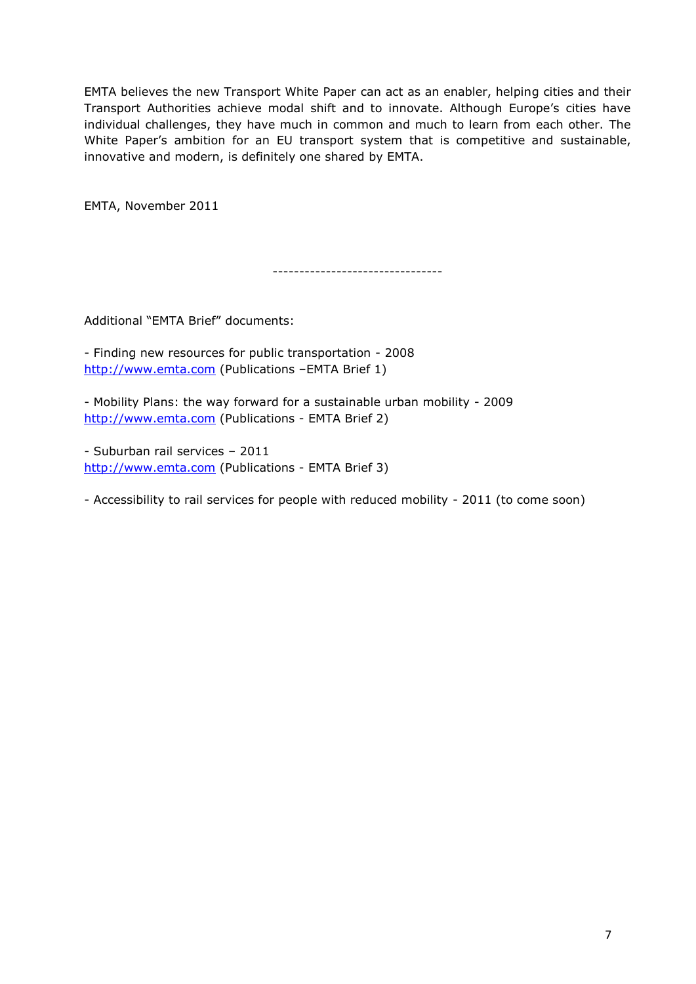EMTA believes the new Transport White Paper can act as an enabler, helping cities and their Transport Authorities achieve modal shift and to innovate. Although Europe's cities have individual challenges, they have much in common and much to learn from each other. The White Paper's ambition for an EU transport system that is competitive and sustainable, innovative and modern, is definitely one shared by EMTA.

EMTA, November 2011

--------------------------------

Additional "EMTA Brief" documents:

- Finding new resources for public transportation - 2008 [http://www.emta.com](http://www.emta.com/) (Publications –EMTA Brief 1)

- Mobility Plans: the way forward for a sustainable urban mobility - 2009 [http://www.emta.com](http://www.emta.com/) (Publications - EMTA Brief 2)

- Suburban rail services – 2011 [http://www.emta.com](http://www.emta.com/) (Publications - EMTA Brief 3)

- Accessibility to rail services for people with reduced mobility - 2011 (to come soon)